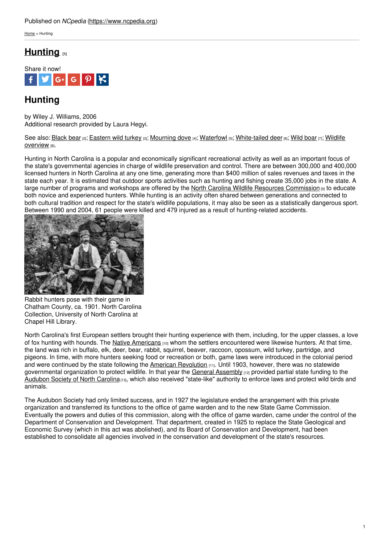### Published on *NCpedia* [\(https://www.ncpedia.org](https://www.ncpedia.org))

[Home](https://www.ncpedia.org/) > Hunting

## **[Hunting](https://www.ncpedia.org/hunting) [1]**



# **Hunting**

by Wiley J. Williams, 2006 Additional research provided by Laura Hegyi.

See also: [Black](https://www.ncpedia.org/black-bear-nc-wins) bear [2]; [Eastern](https://www.ncpedia.org/eastern-wild-turkey-nc-wins) wild turkey [3]; [Mourning](https://www.ncpedia.org/mourning-dove-nc-wins) dove [4]; [Waterfowl](https://www.ncpedia.org/waterfowl) [5]; [White-tailed](https://www.ncpedia.org/wildlife/overview) deer [6]; [Wild](https://www.ncpedia.org/wild-boar-nc-wins) boar [7]; Wildlife overview [8].

Hunting in North Carolina is a popular and economically significant recreational activity as well as an important focus of the state's governmental agencies in charge of wildlife preservation and control. There are between 300,000 and 400,000 licensed hunters in North Carolina at any one time, [gener](http://www.social9.com)ating more than \$400 million of sales revenues and taxes in the state each year. It is estimated that outdoor sports activities such as hunting and fishing create 35,000 jobs in the state. A large number of programs and workshops are offered by the North Carolina Wildlife Resources [Commission](https://www.ncwildlife.org) [9] to educate both novice and experienced hunters. While hunting is an activity often shared between generations and connected to both cultural tradition and respect for the state's wildlife populations, it may also be seen as a statistically dangerous sport. Between 1990 and 2004, 61 people were killed and 479 injured as a result of hunting-related accidents.



Rabbit hunters pose with their game in Chatham County, ca. 1901. North Carolina Collection, University of North Carolina at Chapel Hill Library.

North Carolina's first European settlers brought their hunting experience with them, including, for the upper classes, a love of fox hunting with hounds. The Native [Americans](https://www.ncpedia.org/american-indians/introduction)  $[10]$  whom the settlers encountered were likewise hunters. At that time, the land was rich in buffalo, elk, deer, bear, rabbit, squirrel, beaver, raccoon, opossum, wild turkey, partridge, and pigeons. In time, with more hunters seeking food or recreation or both, game laws were introduced in the colonial period and were continued by the state following the American [Revolution](https://www.ncpedia.org/american-revolution) [11]. Until 1903, however, there was no statewide governmental organization to protect wildlife. In that year the General [Assembly](https://www.ncpedia.org/general-assembly) [12] provided partial state funding to the [Audubon](https://www.ncpedia.org/audubon-society-north-carolina) Society of North Carolina<sub>[13]</sub>, which also received "state-like" authority to enforce laws and protect wild birds and animals.

The Audubon Society had only limited success, and in 1927 the legislature ended the arrangement with this private organization and transferred its functions to the office of game warden and to the new State Game Commission. Eventually the powers and duties of this commission, along with the office of game warden, came under the control of the Department of Conservation and Development. That department, created in 1925 to replace the State Geological and Economic Survey (which in this act was abolished), and its Board of Conservation and Development, had been established to consolidate all agencies involved in the conservation and development of the state's resources.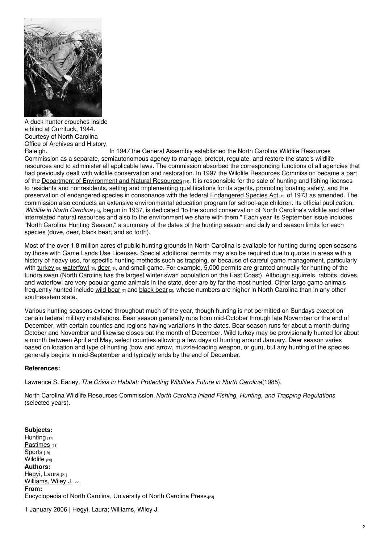

A duck hunter crouches inside a blind at Currituck, 1944. Courtesy of North Carolina Office of Archives and History,<br>Raleigh.

In 1947 the General Assembly established the North Carolina Wildlife Resources Commission as a separate, semiautonomous agency to manage, protect, regulate, and restore the state's wildlife resources and to administer all applicable laws. The commission absorbed the corresponding functions of all agencies that had previously dealt with wildlife conservation and restoration. In 1997 the Wildlife Resources Commission became a part of the Department of [Environment](https://www.ncpedia.org/environment-and-natural-resources) and Natural Resources  $H_1$ . It is responsible for the sale of hunting and fishing licenses to residents and nonresidents, setting and implementing qualifications for its agents, promoting boating safety, and the preservation of endangered species in consonance with the federal [Endangered](http://www.epa.gov/lawsregs/laws/esa.html) Species Act [15] of 1973 as amended. The commission also conducts an extensive environmental education program for school-age children. Its official publication, *Wildlife in North [Carolina](https://www.ncwildlife.org/Learning/MultimediaCenter/WildlifeinNorthCarolina.aspx)* [16], begun in 1937, is dedicated "to the sound conservation of North Carolina's wildlife and other interrelated natural resources and also to the environment we share with them." Each year its September issue includes "North Carolina Hunting Season," a summary of the dates of the hunting season and daily and season limits for each species (dove, deer, black bear, and so forth).

Most of the over 1.8 million acres of public hunting grounds in North Carolina is available for hunting during open seasons by those with Game Lands Use Licenses. Special additional permits may also be required due to quotas in areas with a history of heavy use, for specific hunting methods such as trapping, or because of careful game management, particularly with [turkey](https://www.ncpedia.org/eastern-wild-turkey-nc-wins) [3], [waterfowl](https://www.ncpedia.org/waterfowl) [5], [deer](https://www.ncpedia.org/white-tailed-deer-nc-wins) [6], and small game. For example, 5,000 permits are granted annually for hunting of the tundra swan (North Carolina has the largest winter swan population on the East Coast). Although squirrels, rabbits, doves, and waterfowl are very popular game animals in the state, deer are by far the most hunted. Other large game animals frequently hunted include wild [boar](https://www.ncpedia.org/wild-boar-nc-wins)  $\eta$  and [black](https://www.ncpedia.org/black-bear-nc-wins) bear  $\eta$ , whose numbers are higher in North Carolina than in any other southeastern state.

Various hunting seasons extend throughout much of the year, though hunting is not permitted on Sundays except on certain federal military installations. Bear season generally runs from mid-October through late November or the end of December, with certain counties and regions having variations in the dates. Boar season runs for about a month during October and November and likewise closes out the month of December. Wild turkey may be provisionally hunted for about a month between April and May, select counties allowing a few days of hunting around January. Deer season varies based on location and type of hunting (bow and arrow, muzzle-loading weapon, or gun), but any hunting of the species generally begins in mid-September and typically ends by the end of December.

### **References:**

Lawrence S. Earley, *The Crisis in Habitat: Protecting Wildlife's Future in North Carolina*(1985).

North Carolina Wildlife Resources Commission, *North Carolina Inland Fishing, Hunting, and Trapping Regulations* (selected years).

**Subjects:** [Hunting](https://www.ncpedia.org/category/subjects/hunting) [17] [Pastimes](https://www.ncpedia.org/category/subjects/pastimes) [18] [Sports](https://www.ncpedia.org/category/subjects/sports) [19] [Wildlife](https://www.ncpedia.org/category/subjects/wildlife) [20] **Authors:** [Hegyi,](https://www.ncpedia.org/category/authors/hegyi-laura) Laura [21] [Williams,](https://www.ncpedia.org/category/authors/williams-wiley-j) Wiley J. [22] **From:** [Encyclopedia](https://www.ncpedia.org/category/entry-source/encyclopedia-) of North Carolina, University of North Carolina Press.[23]

1 January 2006 | Hegyi, Laura; Williams, Wiley J.